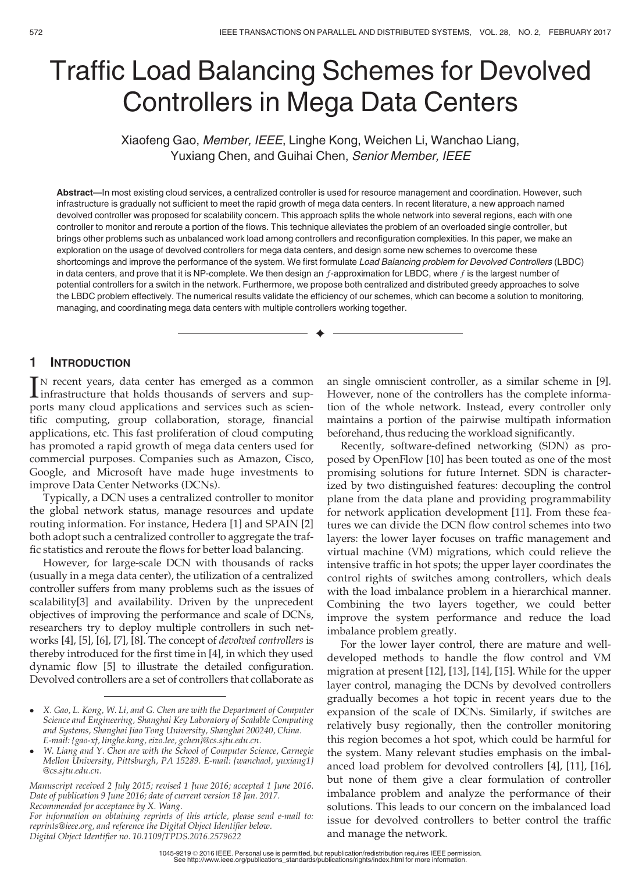# Traffic Load Balancing Schemes for Devolved Controllers in Mega Data Centers

Xiaofeng Gao, Member, IEEE, Linghe Kong, Weichen Li, Wanchao Liang, Yuxiang Chen, and Guihai Chen, Senior Member, IEEE

Abstract—In most existing cloud services, a centralized controller is used for resource management and coordination. However, such infrastructure is gradually not sufficient to meet the rapid growth of mega data centers. In recent literature, a new approach named devolved controller was proposed for scalability concern. This approach splits the whole network into several regions, each with one controller to monitor and reroute a portion of the flows. This technique alleviates the problem of an overloaded single controller, but brings other problems such as unbalanced work load among controllers and reconfiguration complexities. In this paper, we make an exploration on the usage of devolved controllers for mega data centers, and design some new schemes to overcome these shortcomings and improve the performance of the system. We first formulate Load Balancing problem for Devolved Controllers (LBDC) in data centers, and prove that it is NP-complete. We then design an  $f$ -approximation for LBDC, where  $f$  is the largest number of potential controllers for a switch in the network. Furthermore, we propose both centralized and distributed greedy approaches to solve the LBDC problem effectively. The numerical results validate the efficiency of our schemes, which can become a solution to monitoring, managing, and coordinating mega data centers with multiple controllers working together.

 $\bigstar$ 

# 1 INTRODUCTION

IN recent years, data center has emerged as a common<br>infrastructure that holds thousands of servers and sup-<br>marts many cloud amplitations and services such as seize N recent years, data center has emerged as a common ports many cloud applications and services such as scientific computing, group collaboration, storage, financial applications, etc. This fast proliferation of cloud computing has promoted a rapid growth of mega data centers used for commercial purposes. Companies such as Amazon, Cisco, Google, and Microsoft have made huge investments to improve Data Center Networks (DCNs).

Typically, a DCN uses a centralized controller to monitor the global network status, manage resources and update routing information. For instance, Hedera [1] and SPAIN [2] both adopt such a centralized controller to aggregate the traffic statistics and reroute the flows for better load balancing.

However, for large-scale DCN with thousands of racks (usually in a mega data center), the utilization of a centralized controller suffers from many problems such as the issues of scalability[3] and availability. Driven by the unprecedent objectives of improving the performance and scale of DCNs, researchers try to deploy multiple controllers in such networks [4], [5], [6], [7], [8]. The concept of devolved controllers is thereby introduced for the first time in [4], in which they used dynamic flow [5] to illustrate the detailed configuration. Devolved controllers are a set of controllers that collaborate as an single omniscient controller, as a similar scheme in [9]. However, none of the controllers has the complete information of the whole network. Instead, every controller only maintains a portion of the pairwise multipath information beforehand, thus reducing the workload significantly.

Recently, software-defined networking (SDN) as proposed by OpenFlow [10] has been touted as one of the most promising solutions for future Internet. SDN is characterized by two distinguished features: decoupling the control plane from the data plane and providing programmability for network application development [11]. From these features we can divide the DCN flow control schemes into two layers: the lower layer focuses on traffic management and virtual machine (VM) migrations, which could relieve the intensive traffic in hot spots; the upper layer coordinates the control rights of switches among controllers, which deals with the load imbalance problem in a hierarchical manner. Combining the two layers together, we could better improve the system performance and reduce the load imbalance problem greatly.

For the lower layer control, there are mature and welldeveloped methods to handle the flow control and VM migration at present [12], [13], [14], [15]. While for the upper layer control, managing the DCNs by devolved controllers gradually becomes a hot topic in recent years due to the expansion of the scale of DCNs. Similarly, if switches are relatively busy regionally, then the controller monitoring this region becomes a hot spot, which could be harmful for the system. Many relevant studies emphasis on the imbalanced load problem for devolved controllers [4], [11], [16], but none of them give a clear formulation of controller imbalance problem and analyze the performance of their solutions. This leads to our concern on the imbalanced load issue for devolved controllers to better control the traffic and manage the network.

X. Gao, L. Kong, W. Li, and G. Chen are with the Department of Computer Science and Engineering, Shanghai Key Laboratory of Scalable Computing and Systems, Shanghai Jiao Tong University, Shanghai 200240, China. E-mail: {gao-xf, linghe.kong, eizo.lee, gchen}@cs.sjtu.edu.cn.

W. Liang and Y. Chen are with the School of Computer Science, Carnegie Mellon University, Pittsburgh, PA 15289. E-mail: {wanchaol, yuxiang1} @cs.sjtu.edu.cn.

Manuscript received 2 July 2015; revised 1 June 2016; accepted 1 June 2016. Date of publication 9 June 2016; date of current version 18 Jan. 2017. Recommended for acceptance by X. Wang.

For information on obtaining reprints of this article, please send e-mail to: reprints@ieee.org, and reference the Digital Object Identifier below. Digital Object Identifier no. 10.1109/TPDS.2016.2579622

<sup>1045-9219</sup> 2016 IEEE. Personal use is permitted, but republication/redistribution requires IEEE permission. See http://www.ieee.org/publications\_standards/publications/rights/index.html for more information.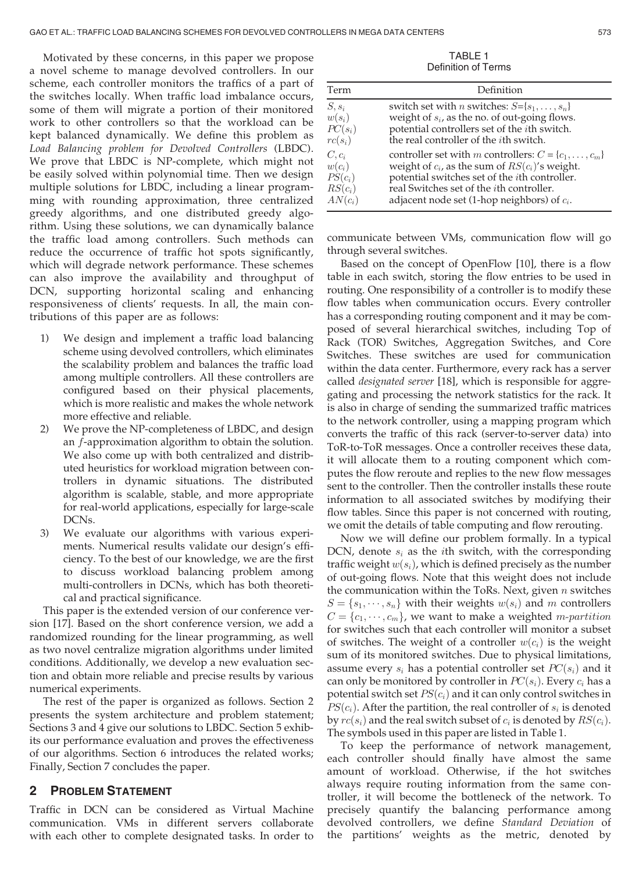Motivated by these concerns, in this paper we propose a novel scheme to manage devolved controllers. In our scheme, each controller monitors the traffics of a part of the switches locally. When traffic load imbalance occurs, some of them will migrate a portion of their monitored work to other controllers so that the workload can be kept balanced dynamically. We define this problem as Load Balancing problem for Devolved Controllers (LBDC). We prove that LBDC is NP-complete, which might not be easily solved within polynomial time. Then we design multiple solutions for LBDC, including a linear programming with rounding approximation, three centralized greedy algorithms, and one distributed greedy algorithm. Using these solutions, we can dynamically balance the traffic load among controllers. Such methods can reduce the occurrence of traffic hot spots significantly, which will degrade network performance. These schemes can also improve the availability and throughput of DCN, supporting horizontal scaling and enhancing responsiveness of clients' requests. In all, the main contributions of this paper are as follows:

- 1) We design and implement a traffic load balancing scheme using devolved controllers, which eliminates the scalability problem and balances the traffic load among multiple controllers. All these controllers are configured based on their physical placements, which is more realistic and makes the whole network more effective and reliable.
- 2) We prove the NP-completeness of LBDC, and design an f-approximation algorithm to obtain the solution. We also come up with both centralized and distributed heuristics for workload migration between controllers in dynamic situations. The distributed algorithm is scalable, stable, and more appropriate for real-world applications, especially for large-scale DCNs.
- 3) We evaluate our algorithms with various experiments. Numerical results validate our design's efficiency. To the best of our knowledge, we are the first to discuss workload balancing problem among multi-controllers in DCNs, which has both theoretical and practical significance.

This paper is the extended version of our conference version [17]. Based on the short conference version, we add a randomized rounding for the linear programming, as well as two novel centralize migration algorithms under limited conditions. Additionally, we develop a new evaluation section and obtain more reliable and precise results by various numerical experiments.

The rest of the paper is organized as follows. Section 2 presents the system architecture and problem statement; Sections 3 and 4 give our solutions to LBDC. Section 5 exhibits our performance evaluation and proves the effectiveness of our algorithms. Section 6 introduces the related works; Finally, Section 7 concludes the paper.

## **PROBLEM STATEMENT**

Traffic in DCN can be considered as Virtual Machine communication. VMs in different servers collaborate with each other to complete designated tasks. In order to

TABLE 1 Definition of Terms

| Term      | Definition                                                    |
|-----------|---------------------------------------------------------------|
| $S, s_i$  | switch set with <i>n</i> switches: $S = \{s_1, \ldots, s_n\}$ |
| $w(s_i)$  | weight of $s_i$ , as the no. of out-going flows.              |
| $PC(s_i)$ | potential controllers set of the <i>i</i> th switch.          |
| $rc(s_i)$ | the real controller of the <i>i</i> th switch.                |
| $C, c_i$  | controller set with m controllers: $C = \{c_1, \ldots, c_m\}$ |
| $w(c_i)$  | weight of $c_i$ , as the sum of $RS(c_i)$ 's weight.          |
| $PS(c_i)$ | potential switches set of the <i>i</i> th controller.         |
| $RS(c_i)$ | real Switches set of the <i>i</i> th controller.              |
| $AN(c_i)$ | adjacent node set (1-hop neighbors) of $c_i$ .                |

communicate between VMs, communication flow will go through several switches.

Based on the concept of OpenFlow [10], there is a flow table in each switch, storing the flow entries to be used in routing. One responsibility of a controller is to modify these flow tables when communication occurs. Every controller has a corresponding routing component and it may be composed of several hierarchical switches, including Top of Rack (TOR) Switches, Aggregation Switches, and Core Switches. These switches are used for communication within the data center. Furthermore, every rack has a server called designated server [18], which is responsible for aggregating and processing the network statistics for the rack. It is also in charge of sending the summarized traffic matrices to the network controller, using a mapping program which converts the traffic of this rack (server-to-server data) into ToR-to-ToR messages. Once a controller receives these data, it will allocate them to a routing component which computes the flow reroute and replies to the new flow messages sent to the controller. Then the controller installs these route information to all associated switches by modifying their flow tables. Since this paper is not concerned with routing, we omit the details of table computing and flow rerouting.

Now we will define our problem formally. In a typical DCN, denote  $s_i$  as the *i*th switch, with the corresponding traffic weight  $w(s_i)$ , which is defined precisely as the number of out-going flows. Note that this weight does not include the communication within the ToRs. Next, given  $n$  switches  $S = \{s_1, \dots, s_n\}$  with their weights  $w(s_i)$  and m controllers  $C = \{c_1, \dots, c_m\}$ , we want to make a weighted *m-partition* for switches such that each controller will monitor a subset of switches. The weight of a controller  $w(c_i)$  is the weight sum of its monitored switches. Due to physical limitations, assume every  $s_i$  has a potential controller set  $PC(s_i)$  and it can only be monitored by controller in  $PC(s_i)$ . Every  $c_i$  has a potential switch set  $PS(c_i)$  and it can only control switches in  $PS(c_i)$ . After the partition, the real controller of  $s_i$  is denoted by  $rc(s_i)$  and the real switch subset of  $c_i$  is denoted by  $RS(c_i)$ . The symbols used in this paper are listed in Table 1.

To keep the performance of network management, each controller should finally have almost the same amount of workload. Otherwise, if the hot switches always require routing information from the same controller, it will become the bottleneck of the network. To precisely quantify the balancing performance among devolved controllers, we define Standard Deviation of the partitions' weights as the metric, denoted by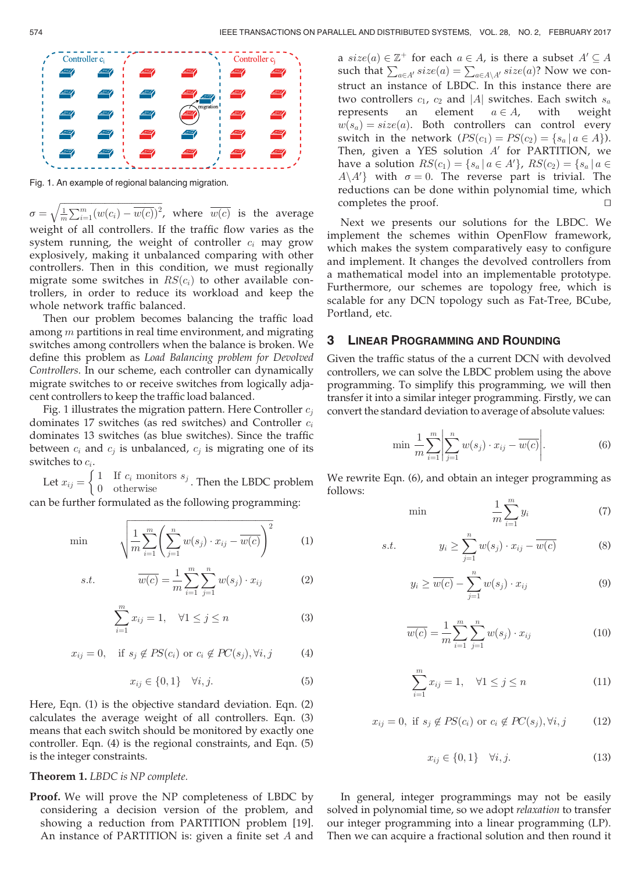

Fig. 1. An example of regional balancing migration.

weight of all controllers. If the traffic flow varies as the  $\sqrt{\frac{1}{m}\sum_{i=1}^{m}(w(c_i)-\overline{w(c)})^2}$ , where  $\overline{w(c)}$  is the average system running, the weight of controller  $c_i$  may grow explosively, making it unbalanced comparing with other controllers. Then in this condition, we must regionally migrate some switches in  $RS(c_i)$  to other available controllers, in order to reduce its workload and keep the whole network traffic balanced.

Then our problem becomes balancing the traffic load among  $m$  partitions in real time environment, and migrating switches among controllers when the balance is broken. We define this problem as Load Balancing problem for Devolved Controllers. In our scheme, each controller can dynamically migrate switches to or receive switches from logically adjacent controllers to keep the traffic load balanced.

Fig. 1 illustrates the migration pattern. Here Controller  $c_i$ dominates 17 switches (as red switches) and Controller  $c_i$ dominates 13 switches (as blue switches). Since the traffic between  $c_i$  and  $c_j$  is unbalanced,  $c_j$  is migrating one of its switches to  $c_i$ .

Let  $x_{ij} = \begin{cases} 1 & \text{If } c_i \text{ monitors } s_j \\ 0 & \text{otherwise} \end{cases}$ . Then the LBDC problem

can be further formulated as the following programming:

$$
\min \qquad \sqrt{\frac{1}{m} \sum_{i=1}^{m} \left( \sum_{j=1}^{n} w(s_j) \cdot x_{ij} - \overline{w(c)} \right)^2} \qquad (1)
$$

s.t. 
$$
\overline{w(c)} = \frac{1}{m} \sum_{i=1}^{m} \sum_{j=1}^{n} w(s_j) \cdot x_{ij}
$$
 (2)

$$
\sum_{i=1}^{m} x_{ij} = 1, \quad \forall 1 \le j \le n
$$
 (3)

$$
x_{ij} = 0, \quad \text{if } s_j \notin PS(c_i) \text{ or } c_i \notin PC(s_j), \forall i, j \tag{4}
$$

$$
x_{ij} \in \{0, 1\} \quad \forall i, j. \tag{5}
$$

Here, Eqn. (1) is the objective standard deviation. Eqn. (2) calculates the average weight of all controllers. Eqn. (3) means that each switch should be monitored by exactly one controller. Eqn. (4) is the regional constraints, and Eqn. (5) is the integer constraints.

#### Theorem 1. LBDC is NP complete.

Proof. We will prove the NP completeness of LBDC by considering a decision version of the problem, and showing a reduction from PARTITION problem [19]. An instance of PARTITION is: given a finite set A and a  $size(a) \in \mathbb{Z}^+$  for each  $a \in A$ , is there a subset  $A' \subseteq A$ such that  $\sum_{a \in A'} size(a) = \sum_{a \in A \setminus A'} size(a)$ ? Now we con-<br>atmost an instance of LBDC. In this instance there are struct an instance of LBDC. In this instance there are two controllers  $c_1$ ,  $c_2$  and |A| switches. Each switch  $s_a$ <br>represents an element  $a \in A$ , with weight represents an element  $a \in A$ , with weight<br> $w(s) = size(a)$  Both controllers can control every  $w(s_a) = size(a)$ . Both controllers can control every<br>switch in the network  $(PS(c_1) = PS(c_2) = \{s, |a \in A\})$ switch in the network  $(PS(c_1) = PS(c_2) = \{s_a \mid a \in A\}).$ Then, given a YES solution  $A'$  for PARTITION, we have a solution  $RS(c_1) = \{s_a | a \in A'\}$ ,  $RS(c_2) = \{s_a | a \in A\}$  with  $\sigma = 0$ . The reverse part is trivial. The  $A\backslash A'$ } with  $\sigma = 0$ . The reverse part is trivial. The reductions can be done within polynomial time which reductions can be done within polynomial time, which completes the proof.

Next we presents our solutions for the LBDC. We implement the schemes within OpenFlow framework, which makes the system comparatively easy to configure and implement. It changes the devolved controllers from a mathematical model into an implementable prototype. Furthermore, our schemes are topology free, which is scalable for any DCN topology such as Fat-Tree, BCube, Portland, etc.

# 3 LINEAR PROGRAMMING AND ROUNDING

Given the traffic status of the a current DCN with devolved controllers, we can solve the LBDC problem using the above programming. To simplify this programming, we will then transfer it into a similar integer programming. Firstly, we can convert the standard deviation to average of absolute values:

$$
\min \frac{1}{m} \sum_{i=1}^{m} \left| \sum_{j=1}^{n} w(s_j) \cdot x_{ij} - \overline{w(c)} \right|.
$$
 (6)

We rewrite Eqn. (6), and obtain an integer programming as follows:

$$
\min \qquad \qquad \frac{1}{m} \sum_{i=1}^{m} y_i \tag{7}
$$

s.t. 
$$
y_i \ge \sum_{j=1}^n w(s_j) \cdot x_{ij} - \overline{w(c)} \tag{8}
$$

$$
y_i \ge \overline{w(c)} - \sum_{j=1}^n w(s_j) \cdot x_{ij}
$$
 (9)

$$
\overline{w(c)} = \frac{1}{m} \sum_{i=1}^{m} \sum_{j=1}^{n} w(s_j) \cdot x_{ij}
$$
 (10)

$$
\sum_{i=1}^{m} x_{ij} = 1, \quad \forall 1 \le j \le n \tag{11}
$$

$$
x_{ij} = 0, \text{ if } s_j \notin PS(c_i) \text{ or } c_i \notin PC(s_j), \forall i, j \tag{12}
$$

$$
x_{ij} \in \{0, 1\} \quad \forall i, j. \tag{13}
$$

In general, integer programmings may not be easily solved in polynomial time, so we adopt relaxation to transfer our integer programming into a linear programming (LP). Then we can acquire a fractional solution and then round it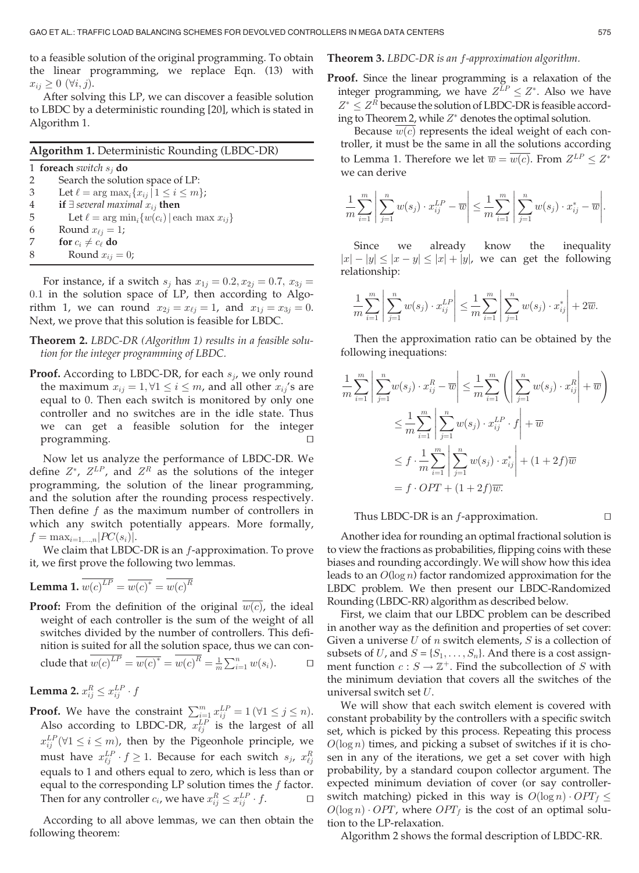to a feasible solution of the original programming. To obtain the linear programming, we replace Eqn. (13) with  $x_{ij} \geq 0 \; (\forall i, j).$ 

After solving this LP, we can discover a feasible solution to LBDC by a deterministic rounding [20], which is stated in Algorithm 1.

|  |  | Algorithm 1. Deterministic Rounding (LBDC-DR) |  |  |
|--|--|-----------------------------------------------|--|--|
|--|--|-----------------------------------------------|--|--|

1 **foreach** *switch*  $s_j$  **do** 2 **Search** the solut Search the solution space of LP: 3 Let  $\ell = \arg \max_i \{x_{ij} | 1 \le i \le m\};$ <br>4 if  $\exists$  several maximal  $x_{ij}$  then 4 if  $\exists$  several maximal  $x_{ij}$  then<br>5 Let  $\ell = \arg \min_i \{w(c_i) \mid \text{e}$ 5 Let  $\ell = \arg \min_i \{w(c_i) | \text{each max } x_{ij}\}$ <br>6 Round  $x_{\ell i} = 1$ ; 6 Round  $x_{\ell j} = 1$ ;<br>7 for  $c_i \neq c_\ell$  do 7 for  $c_i \neq c_\ell$  do<br>8 Round  $x_{ii}$ Round  $x_{ij} = 0$ ;

For instance, if a switch  $s_j$  has  $x_{1j} = 0.2, x_{2j} = 0.7, x_{3j} =$ 0:1 in the solution space of LP, then according to Algorithm 1, we can round  $x_{2i} = x_{\ell i} = 1$ , and  $x_{1i} = x_{3i} = 0$ . Next, we prove that this solution is feasible for LBDC.

Theorem 2. LBDC-DR (Algorithm 1) results in a feasible solution for the integer programming of LBDC.

**Proof.** According to LBDC-DR, for each  $s_i$ , we only round the maximum  $x_{ij} = 1, \forall 1 \leq i \leq m$ , and all other  $x_{ij}$ 's are equal to 0. Then each switch is monitored by only one controller and no switches are in the idle state. Thus we can get a feasible solution for the integer programming.  $\Box$ 

Now let us analyze the performance of LBDC-DR. We define  $Z^*$ ,  $Z^{LP}$ , and  $Z^R$  as the solutions of the integer programming, the solution of the linear programming, and the solution after the rounding process respectively. Then define  $f$  as the maximum number of controllers in which any switch potentially appears. More formally,  $f = \max_{i=1,...,n} |PC(s_i)|.$ 

We claim that LBDC-DR is an f-approximation. To prove it, we first prove the following two lemmas.

**Lemma 1.** 
$$
\overline{w(c)^{LP}} = \overline{w(c)^*} = \overline{w(c)^R}
$$

**Proof:** From the definition of the original  $w(c)$ , the ideal weight of each controller is the sum of the weight of all switches divided by the number of controllers. This definition is suited for all the solution space, thus we can conclude that  $w(c)^{LP} = \overline{w(c)}^* = w(c)^R = \frac{1}{m} \sum_{i=1}^n w(s_i)$ .  $\Box$ 

**Lemma 2.**  $x_{ij}^R \leq x_{ij}^{LP} \cdot f$ 

**Proof.** We have the constraint  $\sum_{i=1}^{m} x_{ij}^{LP} = 1 \ (\forall 1 \leq j \leq n)$ . Also according to LBDC-DR,  $x_{\ell j}^{LP}$  is the largest of all  $x_{ij}^{LP}(\forall 1 \le i \le m)$ , then by the Pigeonhole principle, we must have  $x_{ij}^L$ ,  $f \ge 1$ . Because for each switch  $s_j$ ,  $x_{ij}^R$ equals to 1 and others equal to zero, which is less than or equal to the corresponding  $LP$  solution times the  $f$  factor. Then for any controller  $c_i$ , we have  $x_{ij}^R \leq x_{ij}^{LP} \cdot f$ .

According to all above lemmas, we can then obtain the following theorem:

#### Theorem 3. LBDC-DR is an f-approximation algorithm.

Proof. Since the linear programming is a relaxation of the integer programming, we have  $Z^{\overline{L}P} \leq Z^*$ . Also we have  $Z^* < Z^R$  because the solution of LBDC-DR is feasible according to Theorem 2, while  $Z^*$  denotes the optimal solution.

Because  $w(c)$  represents the ideal weight of each controller, it must be the same in all the solutions according to Lemma 1. Therefore we let  $\overline{w} = \overline{w(c)}$ . From  $Z^{LP} \leq Z^*$ we can derive

$$
\frac{1}{m} \sum_{i=1}^{m} \left| \sum_{j=1}^{n} w(s_j) \cdot x_{ij}^{LP} - \overline{w} \right| \leq \frac{1}{m} \sum_{i=1}^{m} \left| \sum_{j=1}^{n} w(s_j) \cdot x_{ij}^{*} - \overline{w} \right|.
$$

Since we already know the inequality  $|x| - |y| \le |x - y| \le |x| + |y|$ , we can get the following relationship:

$$
\frac{1}{m}\sum_{i=1}^m \left| \sum_{j=1}^n w(s_j) \cdot x_{ij}^{LP} \right| \leq \frac{1}{m}\sum_{i=1}^m \left| \sum_{j=1}^n w(s_j) \cdot x_{ij}^* \right| + 2\overline{w}.
$$

Then the approximation ratio can be obtained by the following inequations:

$$
\frac{1}{m} \sum_{i=1}^{m} \left| \sum_{j=1}^{n} w(s_j) \cdot x_{ij}^R - \overline{w} \right| \leq \frac{1}{m} \sum_{i=1}^{m} \left( \left| \sum_{j=1}^{n} w(s_j) \cdot x_{ij}^R \right| + \overline{w} \right)
$$

$$
\leq \frac{1}{m} \sum_{i=1}^{m} \left| \sum_{j=1}^{n} w(s_j) \cdot x_{ij}^{LP} \cdot f \right| + \overline{w}
$$

$$
\leq f \cdot \frac{1}{m} \sum_{i=1}^{m} \left| \sum_{j=1}^{n} w(s_j) \cdot x_{ij}^* \right| + (1 + 2f)\overline{w}
$$

$$
= f \cdot OPT + (1 + 2f)\overline{w}.
$$

Thus LBDC-DR is an  $f$ -approximation.  $\Box$ 

Another idea for rounding an optimal fractional solution is to view the fractions as probabilities, flipping coins with these biases and rounding accordingly. We will show how this idea leads to an  $O(\log n)$  factor randomized approximation for the LBDC problem. We then present our LBDC-Randomized Rounding (LBDC-RR) algorithm as described below.

First, we claim that our LBDC problem can be described in another way as the definition and properties of set cover: Given a universe  $U$  of  $n$  switch elements,  $S$  is a collection of subsets of U, and  $S = \{S_1, \ldots, S_n\}$ . And there is a cost assignment function  $c : S \to \mathbb{Z}^+$ . Find the subcollection of S with the minimum deviation that covers all the switches of the universal switch set U.

We will show that each switch element is covered with constant probability by the controllers with a specific switch set, which is picked by this process. Repeating this process  $O(\log n)$  times, and picking a subset of switches if it is chosen in any of the iterations, we get a set cover with high probability, by a standard coupon collector argument. The expected minimum deviation of cover (or say controllerswitch matching) picked in this way is  $O(\log n) \cdot OPT_f \leq$  $O(\log n) \cdot OPT$ , where  $OPT_f$  is the cost of an optimal solution to the LP-relaxation.

Algorithm 2 shows the formal description of LBDC-RR.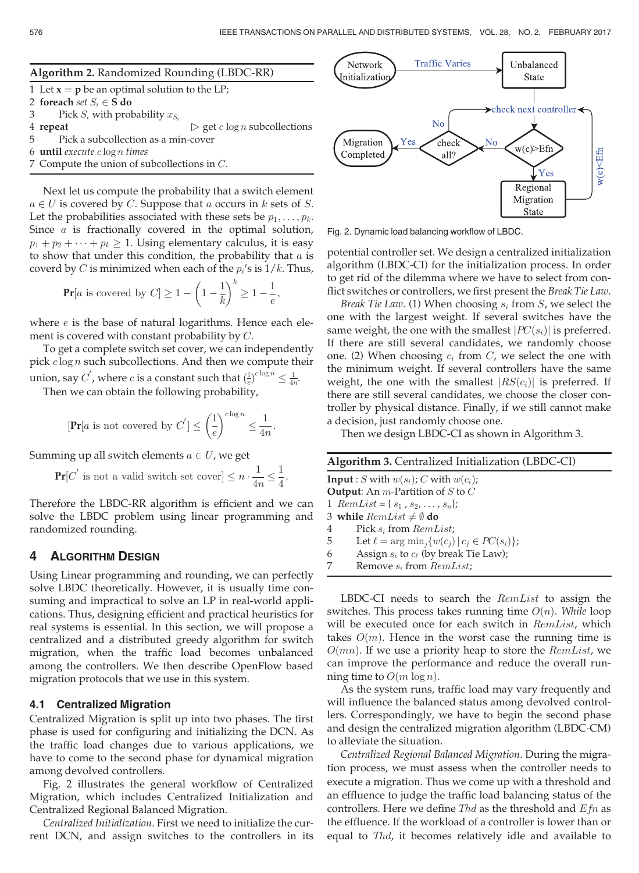

1 Let  $x = p$  be an optimal solution to the LP;

2 **foreach** set  $S_i \in S$  **do**<br>3 Pick  $S_i$  with prol

3 Pick  $S_i$  with probability  $x_{S_i}$ <br>4 repeat

- $\triangleright$  get c log n subcollections 5 Pick a subcollection as a min-cover
- 6 until execute  $c \log n$  times
- 7 Compute the union of subcollections in C.

Next let us compute the probability that a switch element  $a \in U$  is covered by C. Suppose that a occurs in k sets of S. Let the probabilities associated with these sets be  $p_1, \ldots, p_k$ . Since a is fractionally covered in the optimal solution,  $p_1 + p_2 + \cdots + p_k \ge 1$ . Using elementary calculus, it is easy to show that under this condition, the probability that  $a$  is coverd by  $C$  is minimized when each of the  $p_i$ 's is  $1/k$ . Thus,

$$
\Pr[a \text{ is covered by } C] \ge 1 - \left(1 - \frac{1}{k}\right)^k \ge 1 - \frac{1}{e},
$$

where  $e$  is the base of natural logarithms. Hence each element is covered with constant probability by C.

To get a complete switch set cover, we can independently pick  $c \log n$  such subcollections. And then we compute their union, say C, where c is a constant such that  $\left(\frac{1}{e}\right)$ <br>Then we can obtain the following probability  $\frac{c \log n}{4n} \leq \frac{1}{4n}.$ 

Then we can obtain the following probability,

$$
[\Pr[a \text{ is not covered by } C'] \le \left(\frac{1}{e}\right)^{c \log n} \le \frac{1}{4n}.
$$

Summing up all switch elements  $a \in U$ , we get

**Pr**[ $C'$  is not a valid switch set cover]  $\leq n \cdot \frac{1}{4n} \leq$ 1  $\frac{1}{4}$ .

Therefore the LBDC-RR algorithm is efficient and we can solve the LBDC problem using linear programming and randomized rounding.

# 4 ALGORITHM DESIGN

Using Linear programming and rounding, we can perfectly solve LBDC theoretically. However, it is usually time consuming and impractical to solve an LP in real-world applications. Thus, designing efficient and practical heuristics for real systems is essential. In this section, we will propose a centralized and a distributed greedy algorithm for switch migration, when the traffic load becomes unbalanced among the controllers. We then describe OpenFlow based migration protocols that we use in this system.

# 4.1 Centralized Migration

Centralized Migration is split up into two phases. The first phase is used for configuring and initializing the DCN. As the traffic load changes due to various applications, we have to come to the second phase for dynamical migration among devolved controllers.

Fig. 2 illustrates the general workflow of Centralized Migration, which includes Centralized Initialization and Centralized Regional Balanced Migration.

Centralized Initialization. First we need to initialize the current DCN, and assign switches to the controllers in its



Fig. 2. Dynamic load balancing workflow of LBDC.

potential controller set. We design a centralized initialization algorithm (LBDC-CI) for the initialization process. In order to get rid of the dilemma where we have to select from conflict switches or controllers, we first present the Break Tie Law.

*Break Tie Law.* (1) When choosing  $s_i$  from S, we select the one with the largest weight. If several switches have the same weight, the one with the smallest  $|PC(s_i)|$  is preferred. If there are still several candidates, we randomly choose one. (2) When choosing  $c_i$  from  $C$ , we select the one with the minimum weight. If several controllers have the same weight, the one with the smallest  $|RS(c_i)|$  is preferred. If there are still several candidates, we choose the closer controller by physical distance. Finally, if we still cannot make a decision, just randomly choose one.

Then we design LBDC-CI as shown in Algorithm 3.

| <b>Algorithm 3.</b> Centralized Initialization (LBDC-CI)      |  |  |  |
|---------------------------------------------------------------|--|--|--|
| <b>Input</b> : S with $w(s_i)$ ; C with $w(c_i)$ ;            |  |  |  |
| <b>Output:</b> An <i>m</i> -Partition of <i>S</i> to <i>C</i> |  |  |  |
| 1 RemList = { $s_1$ , $s_2$ , , $s_n$ };                      |  |  |  |
| 3 while $RemList \neq \emptyset$ do                           |  |  |  |
| Pick $s_i$ from $RemList;$<br>4                               |  |  |  |
| Let $\ell = \arg \min_i \{w(c_j)   c_j \in PC(s_i)\};$<br>5   |  |  |  |
| Assign $s_i$ to $c_\ell$ (by break Tie Law);<br>6             |  |  |  |
| Remove $s_i$ from $RemList;$                                  |  |  |  |

LBDC-CI needs to search the  $RemList$  to assign the switches. This process takes running time  $O(n)$ . While loop will be executed once for each switch in  $RemList$ , which takes  $O(m)$ . Hence in the worst case the running time is  $O(mn)$ . If we use a priority heap to store the  $RemList$ , we can improve the performance and reduce the overall running time to  $O(m \log n)$ .

As the system runs, traffic load may vary frequently and will influence the balanced status among devolved controllers. Correspondingly, we have to begin the second phase and design the centralized migration algorithm (LBDC-CM) to alleviate the situation.

Centralized Regional Balanced Migration. During the migration process, we must assess when the controller needs to execute a migration. Thus we come up with a threshold and an effluence to judge the traffic load balancing status of the controllers. Here we define  $Thd$  as the threshold and  $Efn$  as the effluence. If the workload of a controller is lower than or equal to Thd, it becomes relatively idle and available to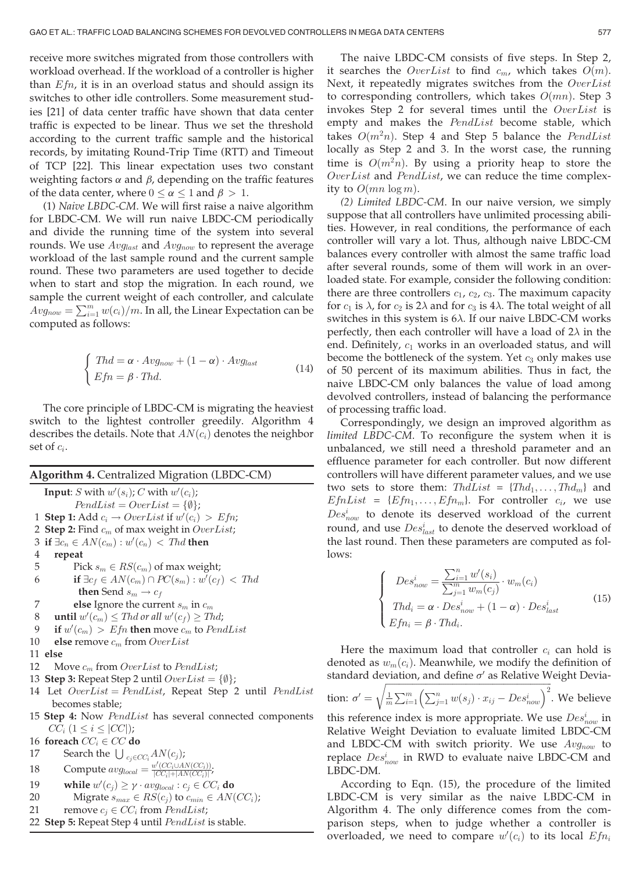receive more switches migrated from those controllers with workload overhead. If the workload of a controller is higher than  $Efn$ , it is in an overload status and should assign its switches to other idle controllers. Some measurement studies [21] of data center traffic have shown that data center traffic is expected to be linear. Thus we set the threshold according to the current traffic sample and the historical records, by imitating Round-Trip Time (RTT) and Timeout of TCP [22]. This linear expectation uses two constant weighting factors  $\alpha$  and  $\beta$ , depending on the traffic features of the data center, where  $0 \le \alpha \le 1$  and  $\beta > 1$ .

(1) Naive LBDC-CM. We will first raise a naive algorithm for LBDC-CM. We will run naive LBDC-CM periodically and divide the running time of the system into several rounds. We use  $Avg_{last}$  and  $Avg_{now}$  to represent the average workload of the last sample round and the current sample round. These two parameters are used together to decide when to start and stop the migration. In each round, we sample the current weight of each controller, and calculate  $Avg_{now} = \sum_{i=1}^{m} w(c_i)/m$ . In all, the Linear Expectation can be computed as follows: computed as follows:

$$
\begin{cases}\nThd = \alpha \cdot Avg_{now} + (1 - \alpha) \cdot Avg_{last} \\
Efn = \beta \cdot Thd.\n\end{cases} \tag{14}
$$

The core principle of LBDC-CM is migrating the heaviest switch to the lightest controller greedily. Algorithm 4 describes the details. Note that  $AN(c_i)$  denotes the neighbor set of  $c_i$ .

#### Algorithm 4. Centralized Migration (LBDC-CM)

**Input:** S with  $w'(s_i)$ ; C with  $w'(c_i)$ ;<br>PendList – OverList – In  $PendList = OverList = {\emptyset};$ 1 **Step 1:** Add  $c_i \rightarrow OverList$  if  $w'(c_i) > Ef$ n;<br>2 **Step 2:** Find condition weight in OverList: 2 Step 2: Find  $c_m$  of max weight in  $OverList;$  $3 \text{ if } \exists c_n \in AN(c_m): w'(c_n) < Thd \text{ then}$ <br>4 **repeat** 4 repeat 5 Pick  $s_m \in RS(c_m)$  of max weight;<br>6 **if**  $\exists c_f \in AN(c_m) \cap PC(s_m) : w'(c_f)$ 6 if  $\exists c_f \in AN(c_m) \cap PC(s_m) : w'(c_f) < Thd$ <br>then Send  $s \rightarrow c_i$ **then** Send  $s_m \rightarrow c_f$ 7 else Ignore the current  $s_m$  in  $c_m$ 8 **until**  $w'(c_m) \leq Thd$  or all  $w'(c_f) \geq Thd;$ <br>9 **if**  $w'(c_1) > Ftr$  **then** move c, to Pen 9 if  $w'(c_m) > Efn$  then move  $c_m$  to PendList<br>0 else remove control per List 10 **else** remove  $c_m$  from  $OverList$ 11 else 12 Move  $c_m$  from OverList to PendList; 13 Step 3: Repeat Step 2 until  $OverList = \{\emptyset\};$ 14 Let  $OverList = PendList$ , Repeat Step 2 until  $PendList$ becomes stable; 15 Step 4: Now PendList has several connected components  $CC_i \ (1 \leq i \leq |CC|);$ 16 **foreach**  $CC_i \in CC$  **do**<br>17 **Search the**  $\vert \ \vert$ 17 Search the  $\bigcup_{c_j \in CC_i} AN(c_j);$ Exercise the  $C_{c_j \in CC_i}^{i}$   $C_{i,j}^{(V)}$ ,  $C_{i,j}^{(V)}$ <br>
18 Compute  $avg_{local} = \frac{w'(CC_i \cup AN(CC_i))}{|CC_i| + |AN(CC_i)|}$ 19 while  $w'(c_j) \geq \gamma \cdot avg_{local} : c_j \in CC_i$  do  $\gamma$  Migrate  $c_j \in RS(c_i)$  to  $c_j \in AN$ 20 Migrate  $s_{max} \in RS(c_j)$  to  $c_{min} \in AN(CC_i)$ ;<br>21 remove  $c_i \in CC_i$  from *PendList*: remove  $c_i \in CC_i$  from *PendList*; 22 Step 5: Repeat Step 4 until *PendList* is stable.

The naive LBDC-CM consists of five steps. In Step 2, it searches the OverList to find  $c_m$ , which takes  $O(m)$ . Next, it repeatedly migrates switches from the OverList to corresponding controllers, which takes  $O(mn)$ . Step 3 invokes Step 2 for several times until the OverList is empty and makes the PendList become stable, which takes  $O(m^2n)$ . Step 4 and Step 5 balance the *PendList* locally as Step 2 and 3. In the worst case, the running time is  $O(m^2n)$ . By using a priority heap to store the OverList and PendList, we can reduce the time complexity to  $O(mn \log m)$ .

(2) Limited LBDC-CM. In our naive version, we simply suppose that all controllers have unlimited processing abilities. However, in real conditions, the performance of each controller will vary a lot. Thus, although naive LBDC-CM balances every controller with almost the same traffic load after several rounds, some of them will work in an overloaded state. For example, consider the following condition: there are three controllers  $c_1$ ,  $c_2$ ,  $c_3$ . The maximum capacity for  $c_1$  is  $\lambda$ , for  $c_2$  is  $2\lambda$  and for  $c_3$  is  $4\lambda$ . The total weight of all switches in this system is 6 $\lambda$ . If our naive LBDC-CM works perfectly, then each controller will have a load of  $2\lambda$  in the end. Definitely,  $c_1$  works in an overloaded status, and will become the bottleneck of the system. Yet  $c_3$  only makes use of 50 percent of its maximum abilities. Thus in fact, the naive LBDC-CM only balances the value of load among devolved controllers, instead of balancing the performance of processing traffic load.

Correspondingly, we design an improved algorithm as limited LBDC-CM. To reconfigure the system when it is unbalanced, we still need a threshold parameter and an effluence parameter for each controller. But now different controllers will have different parameter values, and we use two sets to store them:  $ThdList = {Thd_1, ..., Thd_m}$  and  $EfnList = {Efn_1, \ldots, Effn_m}.$  For controller  $c_i$ , we use  $Des_{now}^i$  to denote its deserved workload of the current round, and use  $Des_{last}^i$  to denote the deserved workload of the last round. Then these parameters are computed as follows:

$$
\begin{cases}\n\text{Des}_{now}^i = \frac{\sum_{i=1}^n w'(s_i)}{\sum_{j=1}^m w_m(c_j)} \cdot w_m(c_i) \\
\text{Thd}_i = \alpha \cdot \text{Des}_{now}^i + (1 - \alpha) \cdot \text{Des}_{last}^i \\
\text{Efn}_i = \beta \cdot \text{Thd}_i.\n\end{cases} (15)
$$

Here the maximum load that controller  $c_i$  can hold is denoted as  $w_m(c_i)$ . Meanwhile, we modify the definition of standard deviation, and define  $\sigma'$  as Relative Weight Deviation:  $\sigma' =$  $\sqrt{\frac{1}{m}\sum_{i=1}^{m} (\sum_{j=1}^{n} w(s_j) \cdot x_{ij} - Des_{now}^i)^2}$ . We believe this reference index is more appropriate. We use  $Des_{now}^i$  in Relative Weight Deviation to evaluate limited LBDC-CM and LBDC-CM with switch priority. We use  $Avg_{now}$  to replace  $Des_{now}^i$  in RWD to evaluate naive LBDC-CM and LBDC-DM.

According to Eqn. (15), the procedure of the limited LBDC-CM is very similar as the naive LBDC-CM in Algorithm 4. The only difference comes from the comparison steps, when to judge whether a controller is overloaded, we need to compare  $w'(c_i)$  to its local  $Efn_i$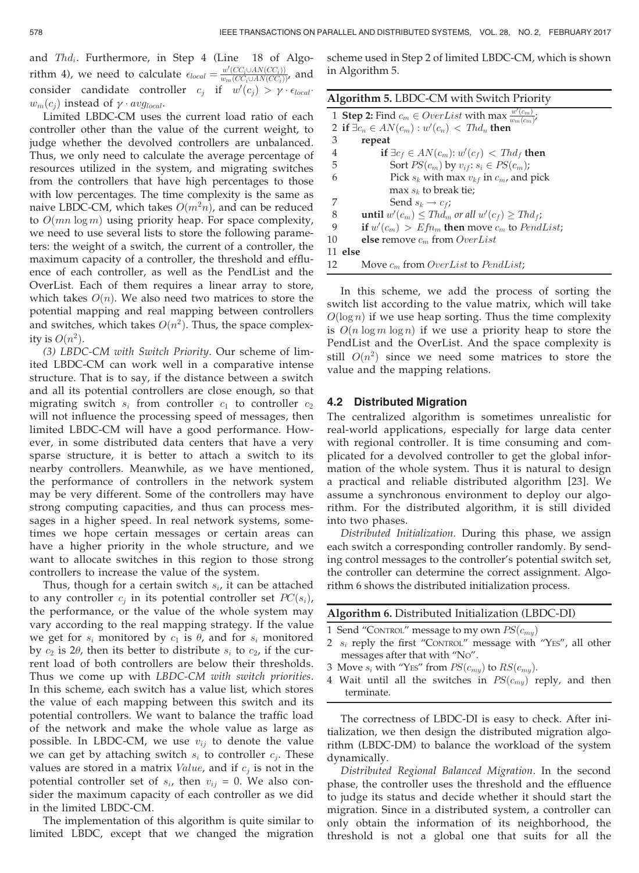and  $Thd_i$ . Furthermore, in Step 4 (Line 18 of Algorithm 4), we need to calculate  $\epsilon_{local} = \frac{w'(CC_i \cup AN(CC_i))}{w_{m}(CC_i \cup AN(CC_i))}$ , and consider candidate controller  $c_j$  if  $w'(c_j) > \gamma \cdot \epsilon_{local}$ <br>*w* (c) instead of *y gygy*  $w_m(c_i)$  instead of  $\gamma \cdot \textit{avg}_{local}$ .

Limited LBDC-CM uses the current load ratio of each controller other than the value of the current weight, to judge whether the devolved controllers are unbalanced. Thus, we only need to calculate the average percentage of resources utilized in the system, and migrating switches from the controllers that have high percentages to those with low percentages. The time complexity is the same as naive LBDC-CM, which takes  $O(m^2n)$ , and can be reduced to  $O(mn \log m)$  using priority heap. For space complexity, we need to use several lists to store the following parameters: the weight of a switch, the current of a controller, the maximum capacity of a controller, the threshold and effluence of each controller, as well as the PendList and the OverList. Each of them requires a linear array to store, which takes  $O(n)$ . We also need two matrices to store the potential mapping and real mapping between controllers and switches, which takes  $O(n^2)$ . Thus, the space complexity is  $O(n^2)$ .

(3) LBDC-CM with Switch Priority. Our scheme of limited LBDC-CM can work well in a comparative intense structure. That is to say, if the distance between a switch and all its potential controllers are close enough, so that migrating switch  $s_i$  from controller  $c_1$  to controller  $c_2$ will not influence the processing speed of messages, then limited LBDC-CM will have a good performance. However, in some distributed data centers that have a very sparse structure, it is better to attach a switch to its nearby controllers. Meanwhile, as we have mentioned, the performance of controllers in the network system may be very different. Some of the controllers may have strong computing capacities, and thus can process messages in a higher speed. In real network systems, sometimes we hope certain messages or certain areas can have a higher priority in the whole structure, and we want to allocate switches in this region to those strong controllers to increase the value of the system.

Thus, though for a certain switch  $s_i$ , it can be attached to any controller  $c_i$  in its potential controller set  $PC(s_i)$ , the performance, or the value of the whole system may vary according to the real mapping strategy. If the value we get for  $s_i$  monitored by  $c_1$  is  $\theta$ , and for  $s_i$  monitored by  $c_2$  is 2 $\theta$ , then its better to distribute  $s_i$  to  $c_2$ , if the current load of both controllers are below their thresholds. Thus we come up with LBDC-CM with switch priorities. In this scheme, each switch has a value list, which stores the value of each mapping between this switch and its potential controllers. We want to balance the traffic load of the network and make the whole value as large as possible. In LBDC-CM, we use  $v_{ij}$  to denote the value we can get by attaching switch  $s_i$  to controller  $c_j$ . These values are stored in a matrix *Value*, and if  $c_j$  is not in the potential controller set of  $s_i$ , then  $v_{ij} = 0$ . We also consider the maximum capacity of each controller as we did in the limited LBDC-CM.

The implementation of this algorithm is quite similar to limited LBDC, except that we changed the migration scheme used in Step 2 of limited LBDC-CM, which is shown in Algorithm 5.

| Algorithm 5. LBDC-CM with Switch Priority                                      |  |  |
|--------------------------------------------------------------------------------|--|--|
| 1 <b>Step 2:</b> Find $c_m \in OverList$ with max $\frac{w'(c_m)}{w_m(c_m)}$ ; |  |  |
| 2 if $\exists c_n \in AN(c_m): w'(c_n) < Thd_n$ then                           |  |  |
| 3<br>repeat                                                                    |  |  |
| if $\exists c_f \in AN(c_m): w'(c_f) < Thd_f$ then<br>4                        |  |  |
| 5<br>Sort $PS(c_m)$ by $v_{if}: s_i \in PS(c_m)$ ;                             |  |  |
| Pick $s_k$ with max $v_{kf}$ in $c_m$ , and pick<br>6                          |  |  |
| $\max s_k$ to break tie;                                                       |  |  |
| 7<br>Send $s_k \rightarrow c_f$ ;                                              |  |  |
| 8<br><b>until</b> $w'(c_m) \leq Thd_m$ or all $w'(c_f) \geq Thd_f$ ;           |  |  |
| 9<br>if $w'(c_m) > Ef n_m$ then move $c_m$ to PendList;                        |  |  |
| else remove $c_m$ from $OverList$<br>10                                        |  |  |
| 11 else                                                                        |  |  |
| Move $c_m$ from OverList to PendList;<br>12                                    |  |  |

In this scheme, we add the process of sorting the switch list according to the value matrix, which will take  $O(\log n)$  if we use heap sorting. Thus the time complexity is  $O(n \log m \log n)$  if we use a priority heap to store the PendList and the OverList. And the space complexity is still  $O(n^2)$  since we need some matrices to store the value and the mapping relations.

#### 4.2 Distributed Migration

The centralized algorithm is sometimes unrealistic for real-world applications, especially for large data center with regional controller. It is time consuming and complicated for a devolved controller to get the global information of the whole system. Thus it is natural to design a practical and reliable distributed algorithm [23]. We assume a synchronous environment to deploy our algorithm. For the distributed algorithm, it is still divided into two phases.

Distributed Initialization. During this phase, we assign each switch a corresponding controller randomly. By sending control messages to the controller's potential switch set, the controller can determine the correct assignment. Algorithm 6 shows the distributed initialization process.

|  |  | <b>Algorithm 6.</b> Distributed Initialization (LBDC-DI) |  |
|--|--|----------------------------------------------------------|--|
|--|--|----------------------------------------------------------|--|

- 1 Send "CONTROL" message to my own  $PS(c_{mu})$
- 2  $s_i$  reply the first "CONTROL" message with "YES", all other messages after that with "NO".
- 3 Move  $s_i$  with "Yes" from  $PS(c_{my})$  to  $RS(c_{my})$ .
- 4 Wait until all the switches in  $PS(c_{m}$  reply, and then terminate.

The correctness of LBDC-DI is easy to check. After initialization, we then design the distributed migration algorithm (LBDC-DM) to balance the workload of the system dynamically.

Distributed Regional Balanced Migration. In the second phase, the controller uses the threshold and the effluence to judge its status and decide whether it should start the migration. Since in a distributed system, a controller can only obtain the information of its neighborhood, the threshold is not a global one that suits for all the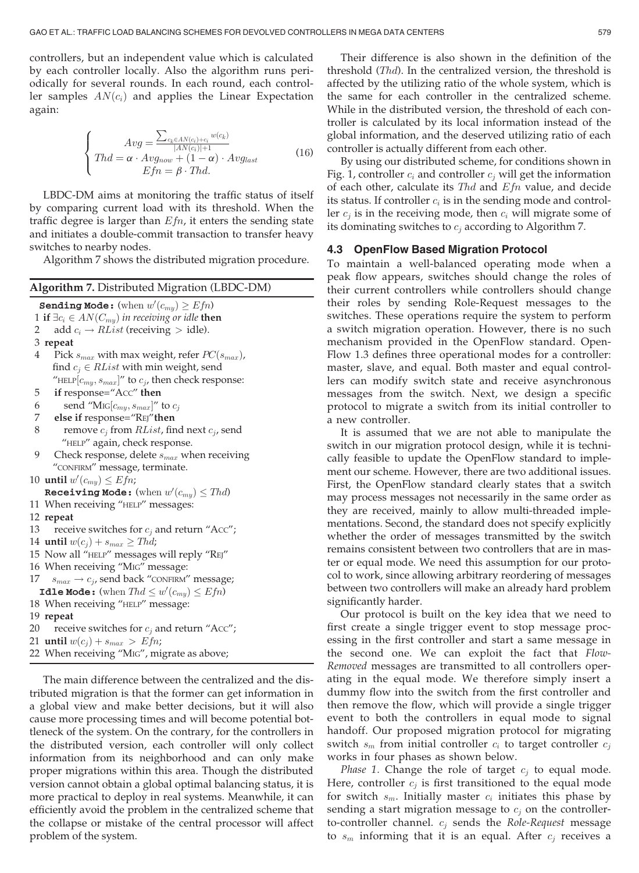controllers, but an independent value which is calculated by each controller locally. Also the algorithm runs periodically for several rounds. In each round, each controller samples  $AN(c_i)$  and applies the Linear Expectation again:

$$
\begin{cases}\nAvg = \frac{\sum_{c_k \in AN(c_i) + c_i} w(c_k)}{|AN(c_i)| + 1} \\
Thd = \alpha \cdot Avg_{now} + (1 - \alpha) \cdot Avg_{last} \\
Ef n = \beta \cdot Thd.\n\end{cases}
$$
\n(16)

LBDC-DM aims at monitoring the traffic status of itself by comparing current load with its threshold. When the traffic degree is larger than  $Efn$ , it enters the sending state and initiates a double-commit transaction to transfer heavy switches to nearby nodes.

Algorithm 7 shows the distributed migration procedure.

| Algorithm 7. Distributed Migration (LBDC-DM)                 |  |  |  |
|--------------------------------------------------------------|--|--|--|
| <b>Sending Mode:</b> (when $w'(c_{m y}) \geq E f n$ )        |  |  |  |
| 1 if $\exists c_i \in AN(C_{my})$ in receiving or idle then  |  |  |  |
| add $c_i \rightarrow RList$ (receiving $>$ idle).<br>2       |  |  |  |
| 3 repeat                                                     |  |  |  |
| Pick $s_{max}$ with max weight, refer $PC(s_{max})$ ,<br>4   |  |  |  |
| find $c_j \in RList$ with min weight, send                   |  |  |  |
| "HELP $[c_{my}, s_{max}]$ " to $c_j$ , then check response:  |  |  |  |
| if response="Acc" then<br>5                                  |  |  |  |
| send "MIG $[c_{my}, s_{max}]$ " to $c_j$<br>6                |  |  |  |
| 7<br>else if response="REJ"then                              |  |  |  |
| 8<br>remove $c_i$ from <i>RList</i> , find next $c_i$ , send |  |  |  |
| "HELP" again, check response.                                |  |  |  |
| 9<br>Check response, delete $s_{max}$ when receiving         |  |  |  |
| "CONFIRM" message, terminate.                                |  |  |  |
| 10 until $w'(c_{my}) \leq Efn$ ;                             |  |  |  |
| Receiving Mode: (when $w'(c_{my}) \leq Thd$ )                |  |  |  |
| 11 When receiving "HELP" messages:                           |  |  |  |
| 12 repeat                                                    |  |  |  |
| receive switches for $c_i$ and return "Acc";<br>13           |  |  |  |
| 14 until $w(c_j) + s_{max} \geq Thd$ ;                       |  |  |  |
| 15 Now all "HELP" messages will reply "REJ"                  |  |  |  |
| 16 When receiving "MIG" message:                             |  |  |  |
| 17 $s_{max} \rightarrow c_j$ , send back "CONFIRM" message;  |  |  |  |
| <b>Idle Mode:</b> (when $Thd \leq w'(c_{my}) \leq Efn$ )     |  |  |  |
| 18 When receiving "HELP" message:                            |  |  |  |
| 19 repeat                                                    |  |  |  |
| 20<br>receive switches for $c_j$ and return "Acc";           |  |  |  |
| 21 until $w(c_j) + s_{max} > Efn$ ;                          |  |  |  |
| 22 When receiving "MIG", migrate as above;                   |  |  |  |

The main difference between the centralized and the distributed migration is that the former can get information in a global view and make better decisions, but it will also cause more processing times and will become potential bottleneck of the system. On the contrary, for the controllers in the distributed version, each controller will only collect information from its neighborhood and can only make proper migrations within this area. Though the distributed version cannot obtain a global optimal balancing status, it is more practical to deploy in real systems. Meanwhile, it can efficiently avoid the problem in the centralized scheme that the collapse or mistake of the central processor will affect problem of the system.

Their difference is also shown in the definition of the threshold (Thd). In the centralized version, the threshold is affected by the utilizing ratio of the whole system, which is the same for each controller in the centralized scheme. While in the distributed version, the threshold of each controller is calculated by its local information instead of the global information, and the deserved utilizing ratio of each controller is actually different from each other.

By using our distributed scheme, for conditions shown in Fig. 1, controller  $c_i$  and controller  $c_j$  will get the information of each other, calculate its  $Thd$  and  $Efn$  value, and decide its status. If controller  $c_i$  is in the sending mode and controller  $c_i$  is in the receiving mode, then  $c_i$  will migrate some of its dominating switches to  $c_i$  according to Algorithm 7.

#### 4.3 OpenFlow Based Migration Protocol

To maintain a well-balanced operating mode when a peak flow appears, switches should change the roles of their current controllers while controllers should change their roles by sending Role-Request messages to the switches. These operations require the system to perform a switch migration operation. However, there is no such mechanism provided in the OpenFlow standard. Open-Flow 1.3 defines three operational modes for a controller: master, slave, and equal. Both master and equal controllers can modify switch state and receive asynchronous messages from the switch. Next, we design a specific protocol to migrate a switch from its initial controller to a new controller.

It is assumed that we are not able to manipulate the switch in our migration protocol design, while it is technically feasible to update the OpenFlow standard to implement our scheme. However, there are two additional issues. First, the OpenFlow standard clearly states that a switch may process messages not necessarily in the same order as they are received, mainly to allow multi-threaded implementations. Second, the standard does not specify explicitly whether the order of messages transmitted by the switch remains consistent between two controllers that are in master or equal mode. We need this assumption for our protocol to work, since allowing arbitrary reordering of messages between two controllers will make an already hard problem significantly harder.

Our protocol is built on the key idea that we need to first create a single trigger event to stop message processing in the first controller and start a same message in the second one. We can exploit the fact that Flow-Removed messages are transmitted to all controllers operating in the equal mode. We therefore simply insert a dummy flow into the switch from the first controller and then remove the flow, which will provide a single trigger event to both the controllers in equal mode to signal handoff. Our proposed migration protocol for migrating switch  $s_m$  from initial controller  $c_i$  to target controller  $c_j$ works in four phases as shown below.

*Phase 1.* Change the role of target  $c_i$  to equal mode. Here, controller  $c_j$  is first transitioned to the equal mode for switch  $s_m$ . Initially master  $c_i$  initiates this phase by sending a start migration message to  $c_j$  on the controllerto-controller channel.  $c_j$  sends the Role-Request message to  $s_m$  informing that it is an equal. After  $c_j$  receives a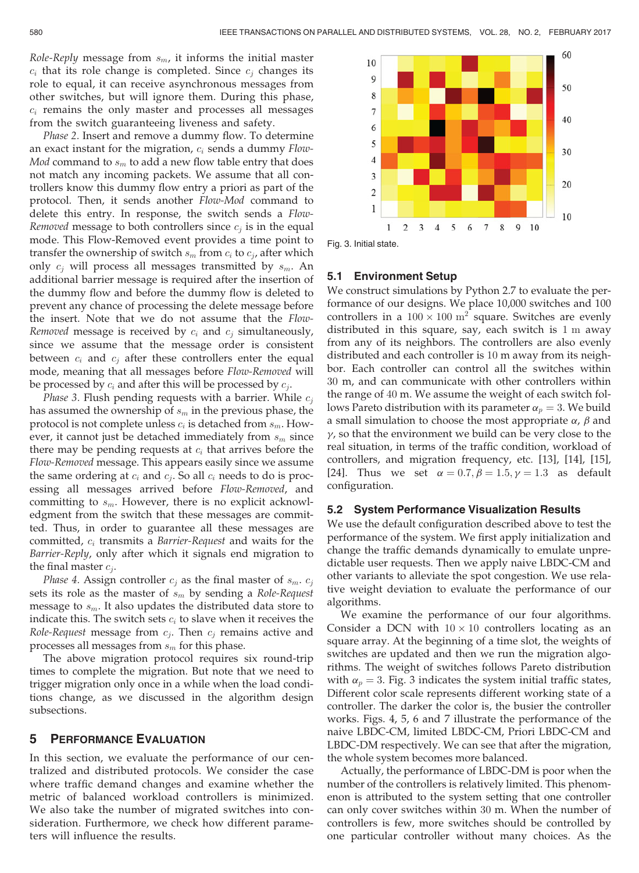Role-Reply message from  $s_{m}$ , it informs the initial master  $c_i$  that its role change is completed. Since  $c_j$  changes its role to equal, it can receive asynchronous messages from other switches, but will ignore them. During this phase,  $c_i$  remains the only master and processes all messages from the switch guaranteeing liveness and safety.

Phase 2. Insert and remove a dummy flow. To determine an exact instant for the migration,  $c_i$  sends a dummy Flow-*Mod* command to  $s_m$  to add a new flow table entry that does not match any incoming packets. We assume that all controllers know this dummy flow entry a priori as part of the protocol. Then, it sends another Flow-Mod command to delete this entry. In response, the switch sends a Flow-Removed message to both controllers since  $c_i$  is in the equal mode. This Flow-Removed event provides a time point to transfer the ownership of switch  $s_m$  from  $c_i$  to  $c_j$ , after which only  $c_i$  will process all messages transmitted by  $s_m$ . An additional barrier message is required after the insertion of the dummy flow and before the dummy flow is deleted to prevent any chance of processing the delete message before the insert. Note that we do not assume that the Flow-Removed message is received by  $c_i$  and  $c_j$  simultaneously, since we assume that the message order is consistent between  $c_i$  and  $c_j$  after these controllers enter the equal mode, meaning that all messages before Flow-Removed will be processed by  $c_i$  and after this will be processed by  $c_j$ .

*Phase 3.* Flush pending requests with a barrier. While  $c_i$ has assumed the ownership of  $s_m$  in the previous phase, the protocol is not complete unless  $c_i$  is detached from  $s_m$ . However, it cannot just be detached immediately from  $s_m$  since there may be pending requests at  $c_i$  that arrives before the Flow-Removed message. This appears easily since we assume the same ordering at  $c_i$  and  $c_j$ . So all  $c_i$  needs to do is processing all messages arrived before Flow-Removed, and committing to  $s_m$ . However, there is no explicit acknowledgment from the switch that these messages are committed. Thus, in order to guarantee all these messages are committed,  $c_i$  transmits a Barrier-Request and waits for the Barrier-Reply, only after which it signals end migration to the final master  $c_i$ .

*Phase 4.* Assign controller  $c_j$  as the final master of  $s_m$ .  $c_j$ sets its role as the master of  $s_m$  by sending a Role-Request message to  $s_m$ . It also updates the distributed data store to indicate this. The switch sets  $c_i$  to slave when it receives the Role-Request message from  $c_j$ . Then  $c_j$  remains active and processes all messages from  $s_m$  for this phase.

The above migration protocol requires six round-trip times to complete the migration. But note that we need to trigger migration only once in a while when the load conditions change, as we discussed in the algorithm design subsections.

# 5 PERFORMANCE EVALUATION

In this section, we evaluate the performance of our centralized and distributed protocols. We consider the case where traffic demand changes and examine whether the metric of balanced workload controllers is minimized. We also take the number of migrated switches into consideration. Furthermore, we check how different parameters will influence the results.





#### 5.1 Environment Setup

We construct simulations by Python 2.7 to evaluate the performance of our designs. We place 10,000 switches and 100 controllers in a  $100 \times 100$  m<sup>2</sup> square. Switches are evenly distributed in this square, say, each switch is 1 m away distributed in this square, say, each switch is 1 m away from any of its neighbors. The controllers are also evenly distributed and each controller is 10 m away from its neighbor. Each controller can control all the switches within 30 m, and can communicate with other controllers within the range of 40 m. We assume the weight of each switch follows Pareto distribution with its parameter  $\alpha_p = 3$ . We build a small simulation to choose the most appropriate  $\alpha$ ,  $\beta$  and  $\gamma$ , so that the environment we build can be very close to the real situation, in terms of the traffic condition, workload of controllers, and migration frequency, etc. [13], [14], [15], [24]. Thus we set  $\alpha = 0.7$ ,  $\beta = 1.5$ ,  $\gamma = 1.3$  as default configuration.

## 5.2 System Performance Visualization Results

We use the default configuration described above to test the performance of the system. We first apply initialization and change the traffic demands dynamically to emulate unpredictable user requests. Then we apply naive LBDC-CM and other variants to alleviate the spot congestion. We use relative weight deviation to evaluate the performance of our algorithms.

We examine the performance of our four algorithms. Consider a DCN with  $10 \times 10$  controllers locating as an equation of  $\alpha$  in the beginning of a time slot the weights of square array. At the beginning of a time slot, the weights of switches are updated and then we run the migration algorithms. The weight of switches follows Pareto distribution with  $\alpha_p = 3$ . Fig. 3 indicates the system initial traffic states, Different color scale represents different working state of a controller. The darker the color is, the busier the controller works. Figs. 4, 5, 6 and 7 illustrate the performance of the naive LBDC-CM, limited LBDC-CM, Priori LBDC-CM and LBDC-DM respectively. We can see that after the migration, the whole system becomes more balanced.

Actually, the performance of LBDC-DM is poor when the number of the controllers is relatively limited. This phenomenon is attributed to the system setting that one controller can only cover switches within 30 m. When the number of controllers is few, more switches should be controlled by one particular controller without many choices. As the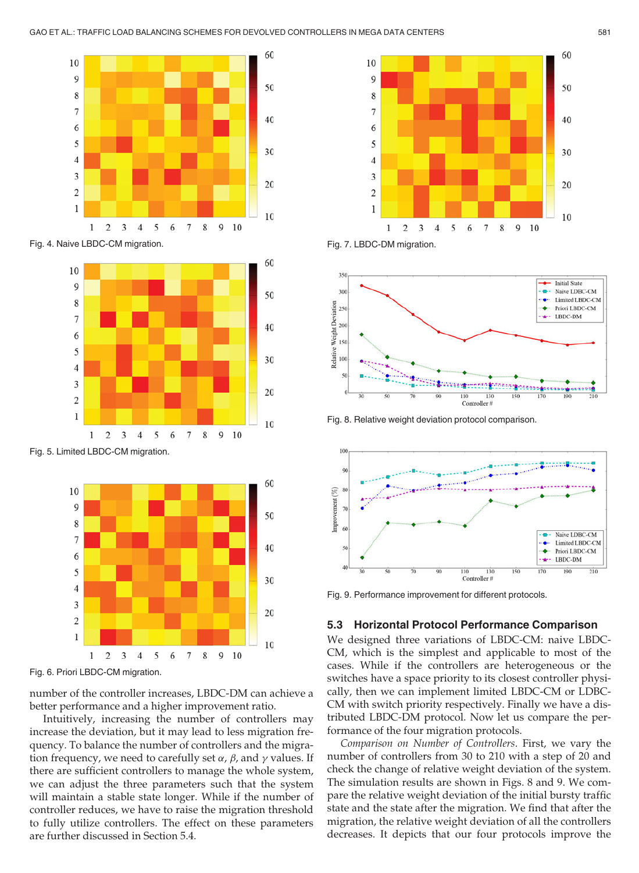

Fig. 4. Naive LBDC-CM migration.



Fig. 5. Limited LBDC-CM migration.



Fig. 6. Priori LBDC-CM migration.

number of the controller increases, LBDC-DM can achieve a better performance and a higher improvement ratio.

Intuitively, increasing the number of controllers may increase the deviation, but it may lead to less migration frequency. To balance the number of controllers and the migration frequency, we need to carefully set  $\alpha$ ,  $\beta$ , and  $\gamma$  values. If there are sufficient controllers to manage the whole system, we can adjust the three parameters such that the system will maintain a stable state longer. While if the number of controller reduces, we have to raise the migration threshold to fully utilize controllers. The effect on these parameters are further discussed in Section 5.4.



Fig. 7. LBDC-DM migration.



Fig. 8. Relative weight deviation protocol comparison.



Fig. 9. Performance improvement for different protocols.

#### 5.3 Horizontal Protocol Performance Comparison

We designed three variations of LBDC-CM: naive LBDC-CM, which is the simplest and applicable to most of the cases. While if the controllers are heterogeneous or the switches have a space priority to its closest controller physically, then we can implement limited LBDC-CM or LDBC-CM with switch priority respectively. Finally we have a distributed LBDC-DM protocol. Now let us compare the performance of the four migration protocols.

Comparison on Number of Controllers. First, we vary the number of controllers from 30 to 210 with a step of 20 and check the change of relative weight deviation of the system. The simulation results are shown in Figs. 8 and 9. We compare the relative weight deviation of the initial bursty traffic state and the state after the migration. We find that after the migration, the relative weight deviation of all the controllers decreases. It depicts that our four protocols improve the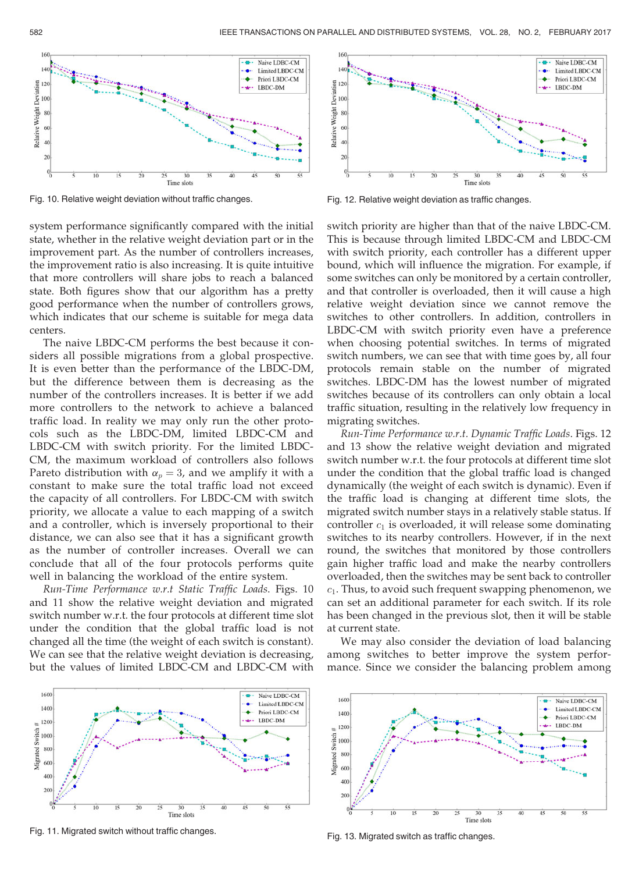

Fig. 10. Relative weight deviation without traffic changes.

system performance significantly compared with the initial state, whether in the relative weight deviation part or in the improvement part. As the number of controllers increases, the improvement ratio is also increasing. It is quite intuitive that more controllers will share jobs to reach a balanced state. Both figures show that our algorithm has a pretty good performance when the number of controllers grows, which indicates that our scheme is suitable for mega data centers.

The naive LBDC-CM performs the best because it considers all possible migrations from a global prospective. It is even better than the performance of the LBDC-DM, but the difference between them is decreasing as the number of the controllers increases. It is better if we add more controllers to the network to achieve a balanced traffic load. In reality we may only run the other protocols such as the LBDC-DM, limited LBDC-CM and LBDC-CM with switch priority. For the limited LBDC-CM, the maximum workload of controllers also follows Pareto distribution with  $\alpha_p = 3$ , and we amplify it with a constant to make sure the total traffic load not exceed the capacity of all controllers. For LBDC-CM with switch priority, we allocate a value to each mapping of a switch and a controller, which is inversely proportional to their distance, we can also see that it has a significant growth as the number of controller increases. Overall we can conclude that all of the four protocols performs quite well in balancing the workload of the entire system.

Run-Time Performance w.r.t Static Traffic Loads. Figs. 10 and 11 show the relative weight deviation and migrated switch number w.r.t. the four protocols at different time slot under the condition that the global traffic load is not changed all the time (the weight of each switch is constant). We can see that the relative weight deviation is decreasing, but the values of limited LBDC-CM and LBDC-CM with



Fig. 11. Migrated switch without traffic changes.



Fig. 12. Relative weight deviation as traffic changes.

switch priority are higher than that of the naive LBDC-CM. This is because through limited LBDC-CM and LBDC-CM with switch priority, each controller has a different upper bound, which will influence the migration. For example, if some switches can only be monitored by a certain controller, and that controller is overloaded, then it will cause a high relative weight deviation since we cannot remove the switches to other controllers. In addition, controllers in LBDC-CM with switch priority even have a preference when choosing potential switches. In terms of migrated switch numbers, we can see that with time goes by, all four protocols remain stable on the number of migrated switches. LBDC-DM has the lowest number of migrated switches because of its controllers can only obtain a local traffic situation, resulting in the relatively low frequency in migrating switches.

Run-Time Performance w.r.t. Dynamic Traffic Loads. Figs. 12 and 13 show the relative weight deviation and migrated switch number w.r.t. the four protocols at different time slot under the condition that the global traffic load is changed dynamically (the weight of each switch is dynamic). Even if the traffic load is changing at different time slots, the migrated switch number stays in a relatively stable status. If controller  $c_1$  is overloaded, it will release some dominating switches to its nearby controllers. However, if in the next round, the switches that monitored by those controllers gain higher traffic load and make the nearby controllers overloaded, then the switches may be sent back to controller  $c_1$ . Thus, to avoid such frequent swapping phenomenon, we can set an additional parameter for each switch. If its role has been changed in the previous slot, then it will be stable at current state.

We may also consider the deviation of load balancing among switches to better improve the system performance. Since we consider the balancing problem among



Fig. 13. Migrated switch as traffic changes.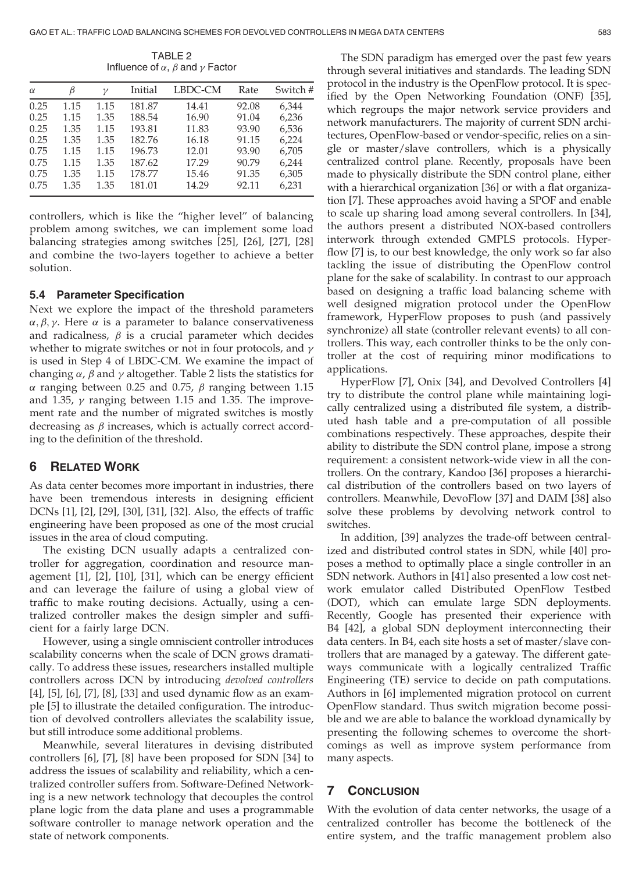TABLE 2 Influence of  $\alpha$ ,  $\beta$  and  $\gamma$  Factor

| $\alpha$ | ß    | $\mathcal V$ | Initial | LBDC-CM | Rate  | Switch# |
|----------|------|--------------|---------|---------|-------|---------|
| 0.25     | 1.15 | 1.15         | 181.87  | 14.41   | 92.08 | 6,344   |
| 0.25     | 1.15 | 1.35         | 188.54  | 16.90   | 91.04 | 6,236   |
| 0.25     | 1.35 | 1.15         | 193.81  | 11.83   | 93.90 | 6,536   |
| 0.25     | 1.35 | 1.35         | 182.76  | 16.18   | 91.15 | 6,224   |
| 0.75     | 1.15 | 1.15         | 196.73  | 12.01   | 93.90 | 6.705   |
| 0.75     | 1.15 | 1.35         | 187.62  | 17.29   | 90.79 | 6,244   |
| 0.75     | 1.35 | 1.15         | 178.77  | 15.46   | 91.35 | 6,305   |
| 0.75     | 1.35 | 1.35         | 181.01  | 14.29   | 92.11 | 6,231   |
|          |      |              |         |         |       |         |

controllers, which is like the "higher level" of balancing problem among switches, we can implement some load balancing strategies among switches [25], [26], [27], [28] and combine the two-layers together to achieve a better solution.

# 5.4 Parameter Specification

Next we explore the impact of the threshold parameters  $\alpha$ ,  $\beta$ ,  $\gamma$ . Here  $\alpha$  is a parameter to balance conservativeness and radicalness,  $\beta$  is a crucial parameter which decides whether to migrate switches or not in four protocols, and  $\gamma$ is used in Step 4 of LBDC-CM. We examine the impact of changing  $\alpha$ ,  $\beta$  and  $\gamma$  altogether. Table 2 lists the statistics for  $\alpha$  ranging between 0.25 and 0.75,  $\beta$  ranging between 1.15 and 1.35,  $\gamma$  ranging between 1.15 and 1.35. The improvement rate and the number of migrated switches is mostly decreasing as  $\beta$  increases, which is actually correct according to the definition of the threshold.

# 6 RELATED WORK

As data center becomes more important in industries, there have been tremendous interests in designing efficient DCNs [1], [2], [29], [30], [31], [32]. Also, the effects of traffic engineering have been proposed as one of the most crucial issues in the area of cloud computing.

The existing DCN usually adapts a centralized controller for aggregation, coordination and resource management [1], [2], [10], [31], which can be energy efficient and can leverage the failure of using a global view of traffic to make routing decisions. Actually, using a centralized controller makes the design simpler and sufficient for a fairly large DCN.

However, using a single omniscient controller introduces scalability concerns when the scale of DCN grows dramatically. To address these issues, researchers installed multiple controllers across DCN by introducing devolved controllers [4], [5], [6], [7], [8], [33] and used dynamic flow as an example [5] to illustrate the detailed configuration. The introduction of devolved controllers alleviates the scalability issue, but still introduce some additional problems.

Meanwhile, several literatures in devising distributed controllers [6], [7], [8] have been proposed for SDN [34] to address the issues of scalability and reliability, which a centralized controller suffers from. Software-Defined Networking is a new network technology that decouples the control plane logic from the data plane and uses a programmable software controller to manage network operation and the state of network components.

The SDN paradigm has emerged over the past few years through several initiatives and standards. The leading SDN protocol in the industry is the OpenFlow protocol. It is specified by the Open Networking Foundation (ONF) [35], which regroups the major network service providers and network manufacturers. The majority of current SDN architectures, OpenFlow-based or vendor-specific, relies on a single or master/slave controllers, which is a physically centralized control plane. Recently, proposals have been made to physically distribute the SDN control plane, either with a hierarchical organization [36] or with a flat organization [7]. These approaches avoid having a SPOF and enable to scale up sharing load among several controllers. In [34], the authors present a distributed NOX-based controllers interwork through extended GMPLS protocols. Hyperflow [7] is, to our best knowledge, the only work so far also tackling the issue of distributing the OpenFlow control plane for the sake of scalability. In contrast to our approach based on designing a traffic load balancing scheme with well designed migration protocol under the OpenFlow framework, HyperFlow proposes to push (and passively synchronize) all state (controller relevant events) to all controllers. This way, each controller thinks to be the only controller at the cost of requiring minor modifications to applications.

HyperFlow [7], Onix [34], and Devolved Controllers [4] try to distribute the control plane while maintaining logically centralized using a distributed file system, a distributed hash table and a pre-computation of all possible combinations respectively. These approaches, despite their ability to distribute the SDN control plane, impose a strong requirement: a consistent network-wide view in all the controllers. On the contrary, Kandoo [36] proposes a hierarchical distribution of the controllers based on two layers of controllers. Meanwhile, DevoFlow [37] and DAIM [38] also solve these problems by devolving network control to switches.

In addition, [39] analyzes the trade-off between centralized and distributed control states in SDN, while [40] proposes a method to optimally place a single controller in an SDN network. Authors in [41] also presented a low cost network emulator called Distributed OpenFlow Testbed (DOT), which can emulate large SDN deployments. Recently, Google has presented their experience with B4 [42], a global SDN deployment interconnecting their data centers. In B4, each site hosts a set of master/slave controllers that are managed by a gateway. The different gateways communicate with a logically centralized Traffic Engineering (TE) service to decide on path computations. Authors in [6] implemented migration protocol on current OpenFlow standard. Thus switch migration become possible and we are able to balance the workload dynamically by presenting the following schemes to overcome the shortcomings as well as improve system performance from many aspects.

# **CONCLUSION**

With the evolution of data center networks, the usage of a centralized controller has become the bottleneck of the entire system, and the traffic management problem also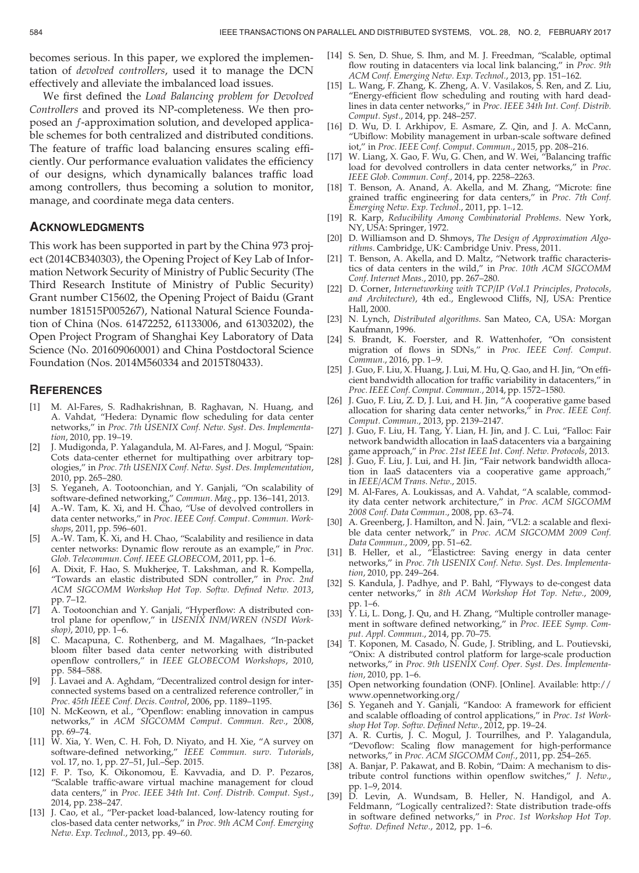becomes serious. In this paper, we explored the implementation of devolved controllers, used it to manage the DCN effectively and alleviate the imbalanced load issues.

We first defined the Load Balancing problem for Devolved Controllers and proved its NP-completeness. We then proposed an f-approximation solution, and developed applicable schemes for both centralized and distributed conditions. The feature of traffic load balancing ensures scaling efficiently. Our performance evaluation validates the efficiency of our designs, which dynamically balances traffic load among controllers, thus becoming a solution to monitor, manage, and coordinate mega data centers.

#### ACKNOWLEDGMENTS

This work has been supported in part by the China 973 project (2014CB340303), the Opening Project of Key Lab of Information Network Security of Ministry of Public Security (The Third Research Institute of Ministry of Public Security) Grant number C15602, the Opening Project of Baidu (Grant number 181515P005267), National Natural Science Foundation of China (Nos. 61472252, 61133006, and 61303202), the Open Project Program of Shanghai Key Laboratory of Data Science (No. 201609060001) and China Postdoctoral Science Foundation (Nos. 2014M560334 and 2015T80433).

#### **REFERENCES**

- [1] M. Al-Fares, S. Radhakrishnan, B. Raghavan, N. Huang, and A. Vahdat, "Hedera: Dynamic flow scheduling for data center networks," in Proc. 7th USENIX Conf. Netw. Syst. Des. Implementation, 2010, pp. 19–19.
- J. Mudigonda, P. Yalagandula, M. Al-Fares, and J. Mogul, "Spain: Cots data-center ethernet for multipathing over arbitrary topologies," in Proc. 7th USENIX Conf. Netw. Syst. Des. Implementation, 2010, pp. 265–280.
- [3] S. Yeganeh, A. Tootoonchian, and Y. Ganjali, "On scalability of software-defined networking," Commun. Mag., pp. 136–141, 2013.
- [4] A.-W. Tam, K. Xi, and H. Chao, "Use of devolved controllers in data center networks," in Proc. IEEE Conf. Comput. Commun. Workshops, 2011, pp. 596–601.
- [5] A.-W. Tam, K. Xi, and H. Chao, "Scalability and resilience in data center networks: Dynamic flow reroute as an example," in Proc. Glob. Telecommun. Conf. IEEE GLOBECOM, 2011, pp. 1-6.
- [6] A. Dixit, F. Hao, S. Mukherjee, T. Lakshman, and R. Kompella, "Towards an elastic distributed SDN controller," in Proc. 2nd ACM SIGCOMM Workshop Hot Top. Softw. Defined Netw. 2013, pp. 7–12.
- [7] A. Tootoonchian and Y. Ganjali, "Hyperflow: A distributed control plane for openflow," in USENIX INM/WREN (NSDI Workshop), 2010, pp. 1–6.
- [8] C. Macapuna, C. Rothenberg, and M. Magalhaes, "In-packet bloom filter based data center networking with distributed openflow controllers," in IEEE GLOBECOM Workshops, 2010, pp. 584–588.
- [9] J. Lavaei and A. Aghdam, "Decentralized control design for interconnected systems based on a centralized reference controller," in Proc. 45th IEEE Conf. Decis. Control, 2006, pp. 1189–1195.
- [10] N. McKeown, et al., "Openflow: enabling innovation in campus networks," in ACM SIGCOMM Comput. Commun. Rev., 2008, pp. 69–74.
- [11] W. Xia, Y. Wen, C. H. Foh, D. Niyato, and H. Xie, "A survey on software-defined networking," IEEE Commun. surv. Tutorials, vol. 17, no. 1, pp. 27–51, Jul.–Sep. 2015.
- [12] F. P. Tso, K. Oikonomou, E. Kavvadia, and D. P. Pezaros, "Scalable traffic-aware virtual machine management for cloud data centers," in Proc. IEEE 34th Int. Conf. Distrib. Comput. Syst., 2014, pp. 238–247.
- [13] J. Cao, et al., "Per-packet load-balanced, low-latency routing for clos-based data center networks," in Proc. 9th ACM Conf. Emerging Netw. Exp. Technol., 2013, pp. 49–60.
- [14] S. Sen, D. Shue, S. Ihm, and M. J. Freedman, "Scalable, optimal flow routing in datacenters via local link balancing," in Proc. 9th ACM Conf. Emerging Netw. Exp. Technol., 2013, pp. 151–162.
- [15] L. Wang, F. Zhang, K. Zheng, A. V. Vasilakos, S. Ren, and Z. Liu, "Energy-efficient flow scheduling and routing with hard deadlines in data center networks," in Proc. IEEE 34th Int. Conf. Distrib. Comput. Syst., 2014, pp. 248–257.
- [16] D. Wu, D. I. Arkhipov, E. Asmare, Z. Qin, and J. A. McCann, "Ubiflow: Mobility management in urban-scale software defined iot," in Proc. IEEE Conf. Comput. Commun., 2015, pp. 208–216.
- [17] W. Liang, X. Gao, F. Wu, G. Chen, and W. Wei, "Balancing traffic load for devolved controllers in data center networks," in Proc. IEEE Glob. Commun. Conf., 2014, pp. 2258–2263.
- [18] T. Benson, A. Anand, A. Akella, and M. Zhang, "Microte: fine grained traffic engineering for data centers," in Proc. 7th Conf. Emerging Netw. Exp. Technol., 2011, pp. 1–12.
- [19] R. Karp, Reducibility Among Combinatorial Problems. New York, NY, USA: Springer, 1972.
- [20] D. Williamson and D. Shmoys, The Design of Approximation Algorithms. Cambridge, UK: Cambridge Univ. Press, 2011.
- [21] T. Benson, A. Akella, and D. Maltz, "Network traffic characteristics of data centers in the wild," in Proc. 10th ACM SIGCOMM Conf. Internet Meas., 2010, pp. 267–280.
- [22] D. Corner, Internetworking with TCP/IP (Vol.1 Principles, Protocols, and Architecture), 4th ed., Englewood Cliffs, NJ, USA: Prentice Hall, 2000.
- [23] N. Lynch, Distributed algorithms. San Mateo, CA, USA: Morgan Kaufmann, 1996.
- [24] S. Brandt, K. Foerster, and R. Wattenhofer, "On consistent migration of flows in SDNs," in Proc. IEEE Conf. Comput. Commun., 2016, pp. 1–9.
- [25] J. Guo, F. Liu, X. Huang, J. Lui, M. Hu, Q. Gao, and H. Jin, "On efficient bandwidth allocation for traffic variability in datacenters," in Proc. IEEE Conf. Comput. Commun., 2014, pp. 1572–1580.
- [26] J. Guo, F. Liu, Z. D, J. Lui, and H. Jin, "A cooperative game based allocation for sharing data center networks," in Proc. IEEE Conf. Comput. Commun., 2013, pp. 2139–2147.
- [27] J. Guo, F. Liu, H. Tang, Y. Lian, H. Jin, and J. C. Lui, "Falloc: Fair network bandwidth allocation in IaaS datacenters via a bargaining game approach," in Proc. 21st IEEE Int. Conf. Netw. Protocols, 2013.
- [28] J. Guo, F. Liu, J. Lui, and H. Jin, "Fair network bandwidth allocation in IaaS datacenters via a cooperative game approach," in IEEE/ACM Trans. Netw., 2015.
- [29] M. Al-Fares, A. Loukissas, and A. Vahdat, "A scalable, commodity data center network architecture," in Proc. ACM SIGCOMM 2008 Conf. Data Commun., 2008, pp. 63–74.
- [30] A. Greenberg, J. Hamilton, and N. Jain, "VL2: a scalable and flexible data center network," in Proc. ACM SIGCOMM 2009 Conf. Data Commun., 2009, pp. 51–62.
- [31] B. Heller, et al., "Elastictree: Saving energy in data center networks," in Proc. 7th USENIX Conf. Netw. Syst. Des. Implementation, 2010, pp. 249–264.
- [32] S. Kandula, J. Padhye, and P. Bahl, "Flyways to de-congest data center networks," in 8th ACM Workshop Hot Top. Netw., 2009, pp. 1–6.
- [33] Y. Li, L. Dong, J. Qu, and H. Zhang, "Multiple controller management in software defined networking," in Proc. IEEE Symp. Comput. Appl. Commun., 2014, pp. 70–75.
- [34] T. Koponen, M. Casado, N. Gude, J. Stribling, and L. Poutievski, "Onix: A distributed control platform for large-scale production networks," in Proc. 9th USENIX Conf. Oper. Syst. Des. Implementation, 2010, pp. 1–6.
- [35] Open networking foundation (ONF). [Online]. Available: http:// www.opennetworking.org/
- [36] S. Yeganeh and Y. Ganjali, "Kandoo: A framework for efficient and scalable offloading of control applications," in Proc. 1st Workshop Hot Top. Softw. Defined Netw., 2012, pp. 19–24.
- [37] A. R. Curtis, J. C. Mogul, J. Tourrilhes, and P. Yalagandula, "Devoflow: Scaling flow management for high-performance networks," in Proc. ACM SIGCOMM Conf., 2011, pp. 254–265.
- [38] A. Banjar, P. Pakawat, and B. Robin, "Daim: A mechanism to distribute control functions within openflow switches," J. Netw., pp. 1–9, 2014.
- [39] D. Levin, A. Wundsam, B. Heller, N. Handigol, and A. Feldmann, "Logically centralized?: State distribution trade-offs in software defined networks," in Proc. 1st Workshop Hot Top. Softw. Defined Netw., 2012, pp. 1–6.